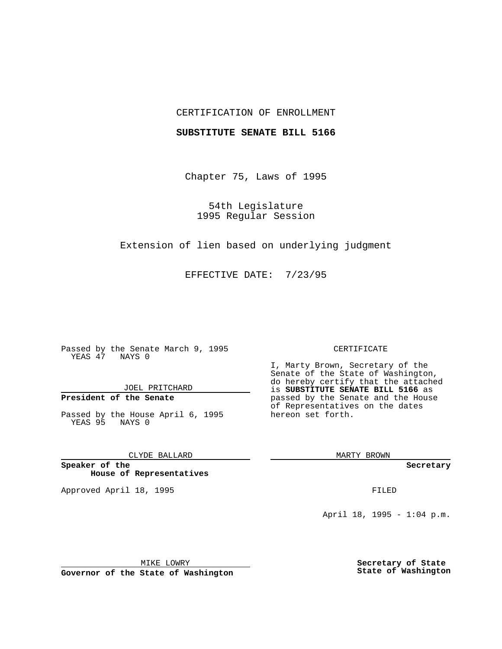## CERTIFICATION OF ENROLLMENT

### **SUBSTITUTE SENATE BILL 5166**

Chapter 75, Laws of 1995

54th Legislature 1995 Regular Session

Extension of lien based on underlying judgment

EFFECTIVE DATE: 7/23/95

Passed by the Senate March 9, 1995 YEAS 47 NAYS 0

JOEL PRITCHARD

# **President of the Senate**

Passed by the House April 6, 1995 YEAS 95 NAYS 0

CLYDE BALLARD

**Speaker of the House of Representatives**

Approved April 18, 1995 FILED

#### CERTIFICATE

I, Marty Brown, Secretary of the Senate of the State of Washington, do hereby certify that the attached is **SUBSTITUTE SENATE BILL 5166** as passed by the Senate and the House of Representatives on the dates hereon set forth.

MARTY BROWN

**Secretary**

April 18, 1995 - 1:04 p.m.

MIKE LOWRY

**Governor of the State of Washington**

**Secretary of State State of Washington**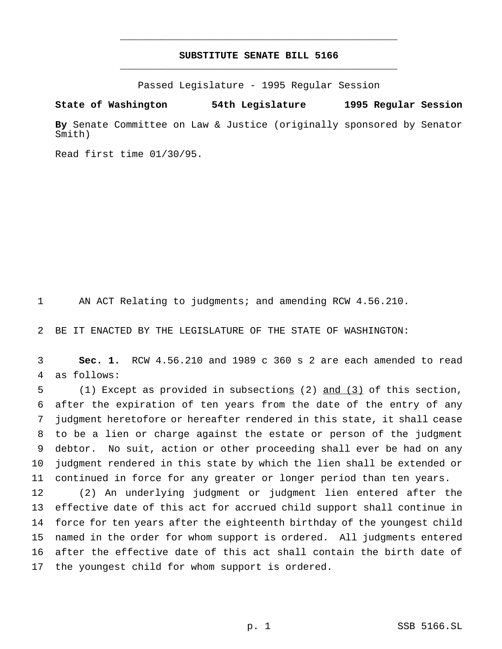## **SUBSTITUTE SENATE BILL 5166** \_\_\_\_\_\_\_\_\_\_\_\_\_\_\_\_\_\_\_\_\_\_\_\_\_\_\_\_\_\_\_\_\_\_\_\_\_\_\_\_\_\_\_\_\_\_\_

\_\_\_\_\_\_\_\_\_\_\_\_\_\_\_\_\_\_\_\_\_\_\_\_\_\_\_\_\_\_\_\_\_\_\_\_\_\_\_\_\_\_\_\_\_\_\_

Passed Legislature - 1995 Regular Session

**State of Washington 54th Legislature 1995 Regular Session**

**By** Senate Committee on Law & Justice (originally sponsored by Senator Smith)

Read first time 01/30/95.

AN ACT Relating to judgments; and amending RCW 4.56.210.

BE IT ENACTED BY THE LEGISLATURE OF THE STATE OF WASHINGTON:

 **Sec. 1.** RCW 4.56.210 and 1989 c 360 s 2 are each amended to read as follows:

 (1) Except as provided in subsections (2) and (3) of this section, after the expiration of ten years from the date of the entry of any judgment heretofore or hereafter rendered in this state, it shall cease to be a lien or charge against the estate or person of the judgment debtor. No suit, action or other proceeding shall ever be had on any judgment rendered in this state by which the lien shall be extended or continued in force for any greater or longer period than ten years.

 (2) An underlying judgment or judgment lien entered after the effective date of this act for accrued child support shall continue in force for ten years after the eighteenth birthday of the youngest child named in the order for whom support is ordered. All judgments entered after the effective date of this act shall contain the birth date of 17 the youngest child for whom support is ordered.